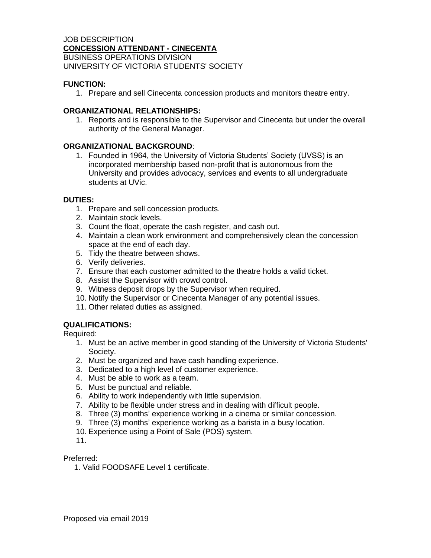### JOB DESCRIPTION **CONCESSION ATTENDANT - CINECENTA** BUSINESS OPERATIONS DIVISION UNIVERSITY OF VICTORIA STUDENTS' SOCIETY

# **FUNCTION:**

1. Prepare and sell Cinecenta concession products and monitors theatre entry.

## **ORGANIZATIONAL RELATIONSHIPS:**

1. Reports and is responsible to the Supervisor and Cinecenta but under the overall authority of the General Manager.

#### **ORGANIZATIONAL BACKGROUND**:

1. Founded in 1964, the University of Victoria Students' Society (UVSS) is an incorporated membership based non-profit that is autonomous from the University and provides advocacy, services and events to all undergraduate students at UVic.

#### **DUTIES:**

- 1. Prepare and sell concession products.
- 2. Maintain stock levels.
- 3. Count the float, operate the cash register, and cash out.
- 4. Maintain a clean work environment and comprehensively clean the concession space at the end of each day.
- 5. Tidy the theatre between shows.
- 6. Verify deliveries.
- 7. Ensure that each customer admitted to the theatre holds a valid ticket.
- 8. Assist the Supervisor with crowd control.
- 9. Witness deposit drops by the Supervisor when required.
- 10. Notify the Supervisor or Cinecenta Manager of any potential issues.
- 11. Other related duties as assigned.

## **QUALIFICATIONS:**

Required:

- 1. Must be an active member in good standing of the University of Victoria Students' Society.
- 2. Must be organized and have cash handling experience.
- 3. Dedicated to a high level of customer experience.
- 4. Must be able to work as a team.
- 5. Must be punctual and reliable.
- 6. Ability to work independently with little supervision.
- 7. Ability to be flexible under stress and in dealing with difficult people.
- 8. Three (3) months' experience working in a cinema or similar concession.
- 9. Three (3) months' experience working as a barista in a busy location.
- 10. Experience using a Point of Sale (POS) system.
- 11.

Preferred:

1. Valid FOODSAFE Level 1 certificate.